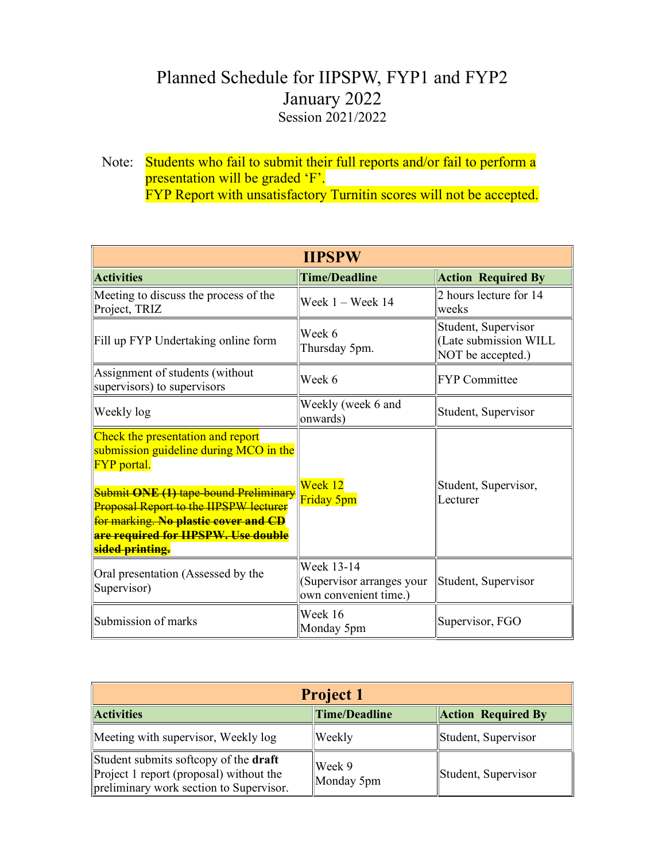## Planned Schedule for IIPSPW, FYP1 and FYP2 January 2022 Session 2021/2022

Note: Students who fail to submit their full reports and/or fail to perform a presentation will be graded 'F'. **FYP Report with unsatisfactory Turnitin scores will not be accepted.** 

| <b>IIPSPW</b>                                                                                                                                                                                                                             |                                                                  |                                                                   |  |  |
|-------------------------------------------------------------------------------------------------------------------------------------------------------------------------------------------------------------------------------------------|------------------------------------------------------------------|-------------------------------------------------------------------|--|--|
| <b>Activities</b>                                                                                                                                                                                                                         | <b>Time/Deadline</b>                                             | <b>Action Required By</b>                                         |  |  |
| Meeting to discuss the process of the<br>Project, TRIZ                                                                                                                                                                                    | Week $1 -$ Week $14$                                             | 2 hours lecture for 14<br>weeks                                   |  |  |
| Fill up FYP Undertaking online form                                                                                                                                                                                                       | Week 6<br>Thursday 5pm.                                          | Student, Supervisor<br>(Late submission WILL<br>NOT be accepted.) |  |  |
| Assignment of students (without<br>supervisors) to supervisors                                                                                                                                                                            | Week 6                                                           | <b>FYP</b> Committee                                              |  |  |
| Weekly log                                                                                                                                                                                                                                | Weekly (week 6 and<br>onwards)                                   | Student, Supervisor                                               |  |  |
| Check the presentation and report<br>submission guideline during MCO in the<br><b>FYP</b> portal.<br><b>Submit ONE (1) tape-bound Preliminary</b><br><b>Proposal Report to the HPSPW lecturer</b><br>for marking. No plastic cover and CD | Week 12<br>Friday 5pm                                            | Student, Supervisor,<br>Lecturer                                  |  |  |
| are required for HPSPW. Use double<br>sided printing.                                                                                                                                                                                     |                                                                  |                                                                   |  |  |
| Oral presentation (Assessed by the<br>Supervisor)                                                                                                                                                                                         | Week 13-14<br>(Supervisor arranges your<br>own convenient time.) | Student, Supervisor                                               |  |  |
| Submission of marks                                                                                                                                                                                                                       | Week 16<br>Monday 5pm                                            | Supervisor, FGO                                                   |  |  |

| <b>Project 1</b>                                                                                                                   |                      |                           |  |  |
|------------------------------------------------------------------------------------------------------------------------------------|----------------------|---------------------------|--|--|
| <b>Activities</b>                                                                                                                  | <b>Time/Deadline</b> | <b>Action Required By</b> |  |  |
| Meeting with supervisor, Weekly log                                                                                                | Weekly               | Student, Supervisor       |  |  |
| Student submits softcopy of the <b>draft</b><br>Project 1 report (proposal) without the<br>preliminary work section to Supervisor. | Week 9<br>Monday 5pm | Student, Supervisor       |  |  |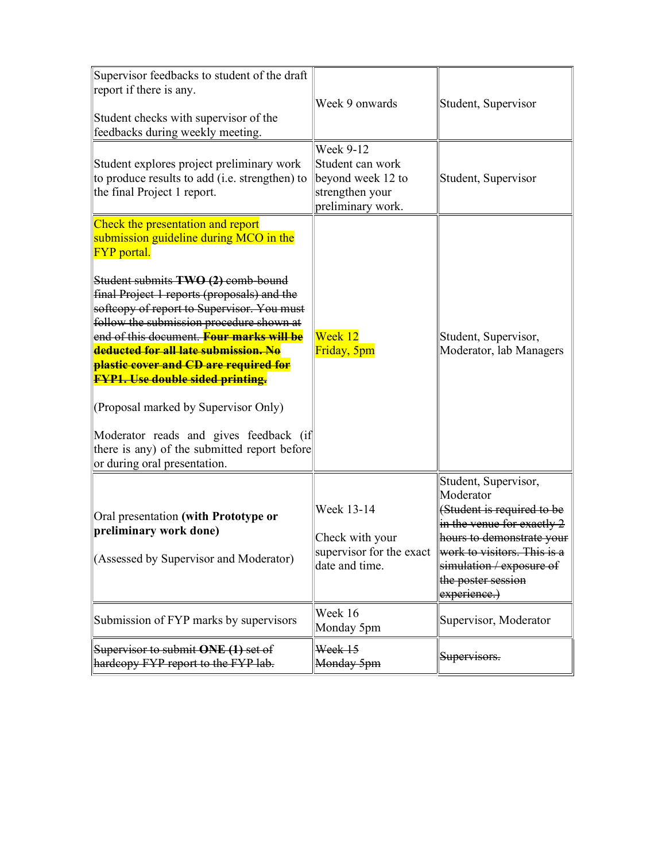| Supervisor feedbacks to student of the draft<br>report if there is any.<br>Student checks with supervisor of the<br>feedbacks during weekly meeting.                                                                                                                                                                                                             | Week 9 onwards                                                                                    | Student, Supervisor                                                                                                                                                                                                                                  |
|------------------------------------------------------------------------------------------------------------------------------------------------------------------------------------------------------------------------------------------------------------------------------------------------------------------------------------------------------------------|---------------------------------------------------------------------------------------------------|------------------------------------------------------------------------------------------------------------------------------------------------------------------------------------------------------------------------------------------------------|
| Student explores project preliminary work<br>to produce results to add (i.e. strengthen) to<br>the final Project 1 report.                                                                                                                                                                                                                                       | <b>Week 9-12</b><br>Student can work<br>beyond week 12 to<br>strengthen your<br>preliminary work. | Student, Supervisor                                                                                                                                                                                                                                  |
| Check the presentation and report<br>submission guideline during MCO in the<br><b>FYP</b> portal.                                                                                                                                                                                                                                                                |                                                                                                   |                                                                                                                                                                                                                                                      |
| Student submits TWO (2) comb-bound<br>final Project 1 reports (proposals) and the<br>softcopy of report to Supervisor. You must<br>follow the submission procedure shown at<br>end of this document. <mark>Four marks will be</mark><br>deducted for all late submission. No<br>plastic cover and CD are required for<br><b>FYP1. Use double sided printing.</b> | Week 12<br>Friday, 5pm                                                                            | Student, Supervisor,<br>Moderator, lab Managers                                                                                                                                                                                                      |
| (Proposal marked by Supervisor Only)<br>Moderator reads and gives feedback (if<br>there is any) of the submitted report before<br>or during oral presentation.                                                                                                                                                                                                   |                                                                                                   |                                                                                                                                                                                                                                                      |
| Oral presentation (with Prototype or<br>preliminary work done)<br>(Assessed by Supervisor and Moderator)                                                                                                                                                                                                                                                         | Week 13-14<br>Check with your<br>date and time.                                                   | Student, Supervisor,<br>Moderator<br>(Student is required to be<br>in the venue for exactly 2<br>hours to demonstrate your<br>supervisor for the exact work to visitors. This is a<br>simulation / exposure of<br>the poster session<br>experience.) |
| Submission of FYP marks by supervisors                                                                                                                                                                                                                                                                                                                           | Week 16<br>Monday 5pm                                                                             | Supervisor, Moderator                                                                                                                                                                                                                                |
| Supervisor to submit ONE (1) set of<br>hardcopy FYP report to the FYP lab.                                                                                                                                                                                                                                                                                       | Week 15<br>Monday 5pm                                                                             | Supervisors.                                                                                                                                                                                                                                         |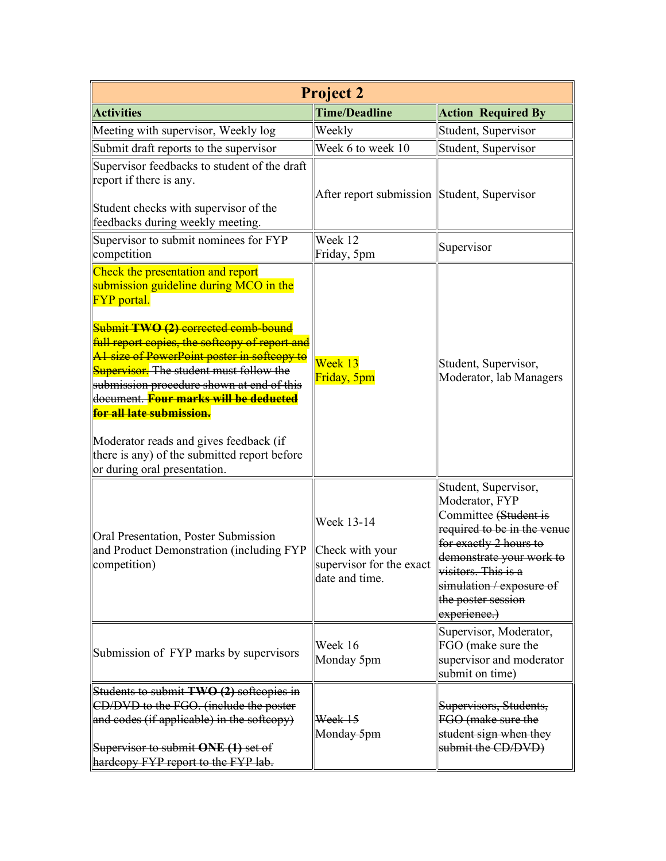| <b>Project 2</b>                                                                                                                                                                                                                                                                                                                                                                                                                                                                                                                        |                                                                             |                                                                                                                                                                                                                                               |  |  |
|-----------------------------------------------------------------------------------------------------------------------------------------------------------------------------------------------------------------------------------------------------------------------------------------------------------------------------------------------------------------------------------------------------------------------------------------------------------------------------------------------------------------------------------------|-----------------------------------------------------------------------------|-----------------------------------------------------------------------------------------------------------------------------------------------------------------------------------------------------------------------------------------------|--|--|
| <b>Activities</b>                                                                                                                                                                                                                                                                                                                                                                                                                                                                                                                       | <b>Time/Deadline</b>                                                        | <b>Action Required By</b>                                                                                                                                                                                                                     |  |  |
| Meeting with supervisor, Weekly log                                                                                                                                                                                                                                                                                                                                                                                                                                                                                                     | Weekly                                                                      | Student, Supervisor                                                                                                                                                                                                                           |  |  |
| Submit draft reports to the supervisor                                                                                                                                                                                                                                                                                                                                                                                                                                                                                                  | Week 6 to week 10                                                           | Student, Supervisor                                                                                                                                                                                                                           |  |  |
| Supervisor feedbacks to student of the draft<br>report if there is any.<br>Student checks with supervisor of the<br>feedbacks during weekly meeting.                                                                                                                                                                                                                                                                                                                                                                                    | After report submission Student, Supervisor                                 |                                                                                                                                                                                                                                               |  |  |
| Supervisor to submit nominees for FYP<br>competition                                                                                                                                                                                                                                                                                                                                                                                                                                                                                    | Week 12<br>Friday, 5pm                                                      | Supervisor                                                                                                                                                                                                                                    |  |  |
| Check the presentation and report<br>submission guideline during MCO in the<br><b>FYP</b> portal.<br>Submit TWO (2) corrected comb bound<br>full report copies, the softcopy of report and<br>Al size of PowerPoint poster in softcopy to<br><b>Supervisor.</b> The student must follow the<br>submission procedure shown at end of this<br>document. Four marks will be deducted<br>for all late submission.<br>Moderator reads and gives feedback (if<br>there is any) of the submitted report before<br>or during oral presentation. | Week 13<br>Friday, 5pm                                                      | Student, Supervisor,<br>Moderator, lab Managers                                                                                                                                                                                               |  |  |
| Oral Presentation, Poster Submission<br>and Product Demonstration (including FYP<br>competition)                                                                                                                                                                                                                                                                                                                                                                                                                                        | Week 13-14<br>Check with your<br>supervisor for the exact<br>date and time. | Student, Supervisor,<br>Moderator, FYP<br>Committee (Student is<br>required to be in the venue<br>for exactly 2 hours to<br>demonstrate your work to<br>visitors. This is a<br>simulation / exposure of<br>the poster session<br>experience.) |  |  |
| Submission of FYP marks by supervisors                                                                                                                                                                                                                                                                                                                                                                                                                                                                                                  | Week 16<br>Monday 5pm                                                       | Supervisor, Moderator,<br>FGO (make sure the<br>supervisor and moderator<br>submit on time)                                                                                                                                                   |  |  |
| Students to submit TWO (2) softcopies in                                                                                                                                                                                                                                                                                                                                                                                                                                                                                                |                                                                             |                                                                                                                                                                                                                                               |  |  |
| CD/DVD to the FGO. (include the poster                                                                                                                                                                                                                                                                                                                                                                                                                                                                                                  |                                                                             | Supervisors, Students,                                                                                                                                                                                                                        |  |  |
| and codes $(i$ f applicable) in the softcopy)                                                                                                                                                                                                                                                                                                                                                                                                                                                                                           | Week 15<br>Monday 5pm                                                       | FGO (make sure the<br>student sign when they                                                                                                                                                                                                  |  |  |
| Supervisor to submit ONE (1) set of<br>hardcopy FYP report to the FYP lab.                                                                                                                                                                                                                                                                                                                                                                                                                                                              |                                                                             | submit the CD/DVD)                                                                                                                                                                                                                            |  |  |